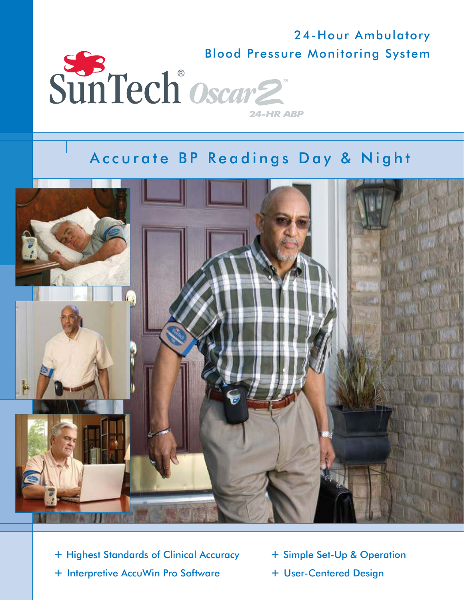

# Accurate BP Readings Day & Night



- + Highest Standards of Clinical Accuracy
- + Interpretive AccuWin Pro Software
- + Simple Set-Up & Operation
- + User-Centered Design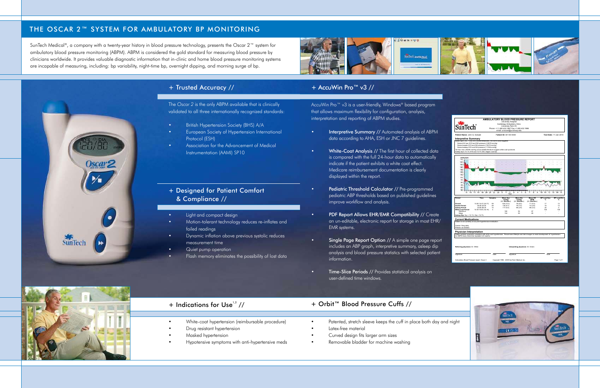## THE OSCAR 2™ SYSTEM FOR AMBULATORY BP MONITORING

SunTech Medical®, a company with a twenty-year history in blood pressure technology, presents the Oscar  $2^m$  system for ambulatory blood pressure monitoring (ABPM). ABPM is considered the gold standard for measuring blood pressure by clinicians worldwide. It provides valuable diagnostic information that in-clinic and home blood pressure monitoring systems are incapable of measuring, including: bp variability, night-time bp, overnight dipping, and morning surge of bp.



### + Designed for Patient Comfort & Compliance //

- Light and compact design
- Motion-tolerant technology reduces re-inflates and failed readings
- Dynamic inflation above previous systolic reduces measurement time
- Quiet pump operation
- Flash memory eliminates the possibility of lost data

### + Trusted Accuracy //

The Oscar 2 is the only ABPM available that is clinically validated to all three internationally recognized standards:

- British Hypertension Society (BHS) A/A
- European Society of Hypertension International Protocol (ESH)
- Association for the Advancement of Medical Instrumentation (AAMI) SP10

#### + AccuWin Pro™ v3 //

AccuWin Pro™ v3 is a user-friendly, Windows® based program that allows maximum flexibility for configuration, analysis, interpretation and reporting of ABPM studies.

- **Interpretive Summary //** Automated analysis of ABPM data according to AHA, ESH or JNC 7 guidelines.
- White-Coat Analysis // The first hour of collected data is compared with the full 24-hour data to automatically indicate if the patient exhibits a white coat effect. Medicare reimbursement documentation is clearly displayed within the report.
- Pediatric Threshold Calculator // Pre-programmed pediatric ABP thresholds based on published guidelines improve workflow and analysis.
- PDF Report Allows EHR/EMR Compatibility // Create an un-editable, electronic report for storage in most EHR/ EMR systems.
- Single Page Report Option // A simple one page report includes an ABP graph, interpretive summary, asleep dip analysis and blood pressure statistics with selected patient information.
- Time-Slice Periods // Provides statistical analysis on user-defined time windows.



SunTech

 $Oscar$ 

# + Indications for Use $1/$

- White-coat hypertension (reimbursable procedure)
- Drug resistant hypertension
- Masked hypertension
- Hypotensive symptoms with anti-hypertensive meds

#### + Orbit™ Blood Pressure Cuffs //

- Patented, stretch sleeve keeps the cuff in place both day and night
- Latex-free material
- Curved design fits larger arm sizes
- Removable bladder for machine washing